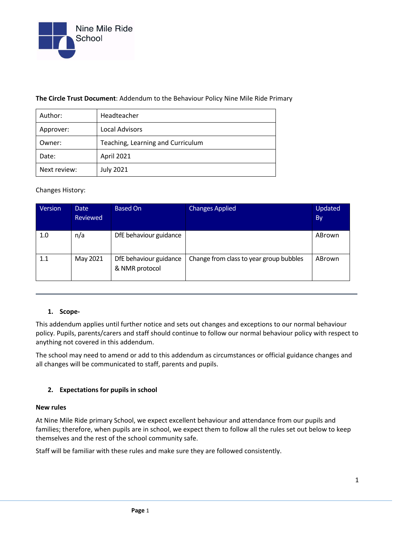

#### **The Circle Trust Document**: Addendum to the Behaviour Policy Nine Mile Ride Primary

| Author:      | Headteacher                       |  |  |
|--------------|-----------------------------------|--|--|
| Approver:    | Local Advisors                    |  |  |
| Owner:       | Teaching, Learning and Curriculum |  |  |
| Date:        | April 2021                        |  |  |
| Next review: | <b>July 2021</b>                  |  |  |

#### Changes History:

| Version | <b>Date</b><br><b>Reviewed</b> | <b>Based On</b>                          | <b>Changes Applied</b>                  | Updated<br>By |
|---------|--------------------------------|------------------------------------------|-----------------------------------------|---------------|
| 1.0     | n/a                            | DfE behaviour guidance                   |                                         | ABrown        |
| 1.1     | May 2021                       | DfE behaviour guidance<br>& NMR protocol | Change from class to year group bubbles | ABrown        |

### **1. Scope-**

This addendum applies until further notice and sets out changes and exceptions to our normal behaviour policy. Pupils, parents/carers and staff should continue to follow our normal behaviour policy with respect to anything not covered in this addendum.

The school may need to amend or add to this addendum as circumstances or official guidance changes and all changes will be communicated to staff, parents and pupils.

### **2. Expectations for pupils in school**

#### **New rules**

At Nine Mile Ride primary School, we expect excellent behaviour and attendance from our pupils and families; therefore, when pupils are in school, we expect them to follow all the rules set out below to keep themselves and the rest of the school community safe.

Staff will be familiar with these rules and make sure they are followed consistently.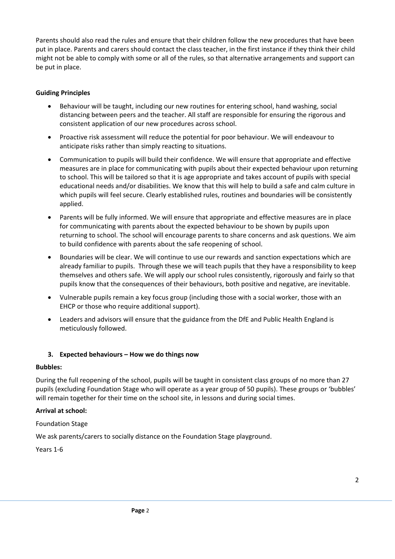Parents should also read the rules and ensure that their children follow the new procedures that have been put in place. Parents and carers should contact the class teacher, in the first instance if they think their child might not be able to comply with some or all of the rules, so that alternative arrangements and support can be put in place.

### **Guiding Principles**

- Behaviour will be taught, including our new routines for entering school, hand washing, social distancing between peers and the teacher. All staff are responsible for ensuring the rigorous and consistent application of our new procedures across school.
- Proactive risk assessment will reduce the potential for poor behaviour. We will endeavour to anticipate risks rather than simply reacting to situations.
- Communication to pupils will build their confidence. We will ensure that appropriate and effective measures are in place for communicating with pupils about their expected behaviour upon returning to school. This will be tailored so that it is age appropriate and takes account of pupils with special educational needs and/or disabilities. We know that this will help to build a safe and calm culture in which pupils will feel secure. Clearly established rules, routines and boundaries will be consistently applied.
- Parents will be fully informed. We will ensure that appropriate and effective measures are in place for communicating with parents about the expected behaviour to be shown by pupils upon returning to school. The school will encourage parents to share concerns and ask questions. We aim to build confidence with parents about the safe reopening of school.
- Boundaries will be clear. We will continue to use our rewards and sanction expectations which are already familiar to pupils. Through these we will teach pupils that they have a responsibility to keep themselves and others safe. We will apply our school rules consistently, rigorously and fairly so that pupils know that the consequences of their behaviours, both positive and negative, are inevitable.
- Vulnerable pupils remain a key focus group (including those with a social worker, those with an EHCP or those who require additional support).
- Leaders and advisors will ensure that the guidance from the DfE and Public Health England is meticulously followed.

### **3. Expected behaviours – How we do things now**

### **Bubbles:**

During the full reopening of the school, pupils will be taught in consistent class groups of no more than 27 pupils (excluding Foundation Stage who will operate as a year group of 50 pupils). These groups or 'bubbles' will remain together for their time on the school site, in lessons and during social times.

### **Arrival at school:**

Foundation Stage

We ask parents/carers to socially distance on the Foundation Stage playground.

Years 1-6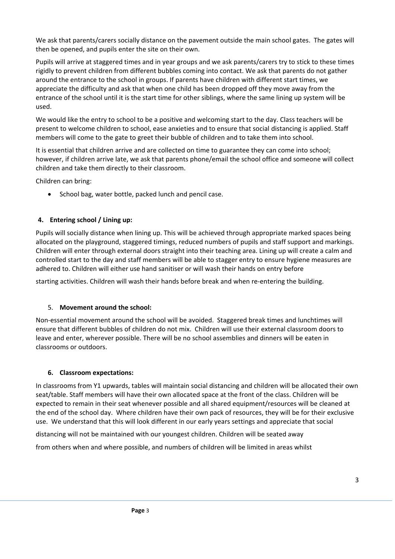We ask that parents/carers socially distance on the pavement outside the main school gates. The gates will then be opened, and pupils enter the site on their own.

Pupils will arrive at staggered times and in year groups and we ask parents/carers try to stick to these times rigidly to prevent children from different bubbles coming into contact. We ask that parents do not gather around the entrance to the school in groups. If parents have children with different start times, we appreciate the difficulty and ask that when one child has been dropped off they move away from the entrance of the school until it is the start time for other siblings, where the same lining up system will be used.

We would like the entry to school to be a positive and welcoming start to the day. Class teachers will be present to welcome children to school, ease anxieties and to ensure that social distancing is applied. Staff members will come to the gate to greet their bubble of children and to take them into school.

It is essential that children arrive and are collected on time to guarantee they can come into school; however, if children arrive late, we ask that parents phone/email the school office and someone will collect children and take them directly to their classroom.

Children can bring:

• School bag, water bottle, packed lunch and pencil case.

# **4. Entering school / Lining up:**

Pupils will socially distance when lining up. This will be achieved through appropriate marked spaces being allocated on the playground, staggered timings, reduced numbers of pupils and staff support and markings. Children will enter through external doors straight into their teaching area. Lining up will create a calm and controlled start to the day and staff members will be able to stagger entry to ensure hygiene measures are adhered to. Children will either use hand sanitiser or will wash their hands on entry before

starting activities. Children will wash their hands before break and when re-entering the building.

# 5. **Movement around the school:**

Non-essential movement around the school will be avoided. Staggered break times and lunchtimes will ensure that different bubbles of children do not mix. Children will use their external classroom doors to leave and enter, wherever possible. There will be no school assemblies and dinners will be eaten in classrooms or outdoors.

# **6. Classroom expectations:**

In classrooms from Y1 upwards, tables will maintain social distancing and children will be allocated their own seat/table. Staff members will have their own allocated space at the front of the class. Children will be expected to remain in their seat whenever possible and all shared equipment/resources will be cleaned at the end of the school day. Where children have their own pack of resources, they will be for their exclusive use. We understand that this will look different in our early years settings and appreciate that social

distancing will not be maintained with our youngest children. Children will be seated away

from others when and where possible, and numbers of children will be limited in areas whilst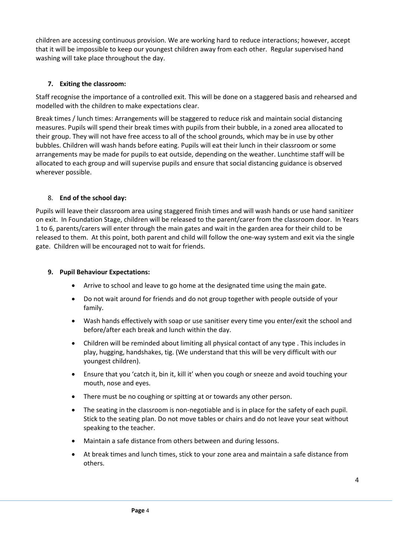children are accessing continuous provision. We are working hard to reduce interactions; however, accept that it will be impossible to keep our youngest children away from each other. Regular supervised hand washing will take place throughout the day.

# **7. Exiting the classroom:**

Staff recognise the importance of a controlled exit. This will be done on a staggered basis and rehearsed and modelled with the children to make expectations clear.

Break times / lunch times: Arrangements will be staggered to reduce risk and maintain social distancing measures. Pupils will spend their break times with pupils from their bubble, in a zoned area allocated to their group. They will not have free access to all of the school grounds, which may be in use by other bubbles. Children will wash hands before eating. Pupils will eat their lunch in their classroom or some arrangements may be made for pupils to eat outside, depending on the weather. Lunchtime staff will be allocated to each group and will supervise pupils and ensure that social distancing guidance is observed wherever possible.

# 8. **End of the school day:**

Pupils will leave their classroom area using staggered finish times and will wash hands or use hand sanitizer on exit. In Foundation Stage, children will be released to the parent/carer from the classroom door. In Years 1 to 6, parents/carers will enter through the main gates and wait in the garden area for their child to be released to them. At this point, both parent and child will follow the one-way system and exit via the single gate. Children will be encouraged not to wait for friends.

# **9. Pupil Behaviour Expectations:**

- Arrive to school and leave to go home at the designated time using the main gate.
- Do not wait around for friends and do not group together with people outside of your family.
- Wash hands effectively with soap or use sanitiser every time you enter/exit the school and before/after each break and lunch within the day.
- Children will be reminded about limiting all physical contact of any type . This includes in play, hugging, handshakes, tig. (We understand that this will be very difficult with our youngest children).
- Ensure that you 'catch it, bin it, kill it' when you cough or sneeze and avoid touching your mouth, nose and eyes.
- There must be no coughing or spitting at or towards any other person.
- The seating in the classroom is non-negotiable and is in place for the safety of each pupil. Stick to the seating plan. Do not move tables or chairs and do not leave your seat without speaking to the teacher.
- Maintain a safe distance from others between and during lessons.
- At break times and lunch times, stick to your zone area and maintain a safe distance from others.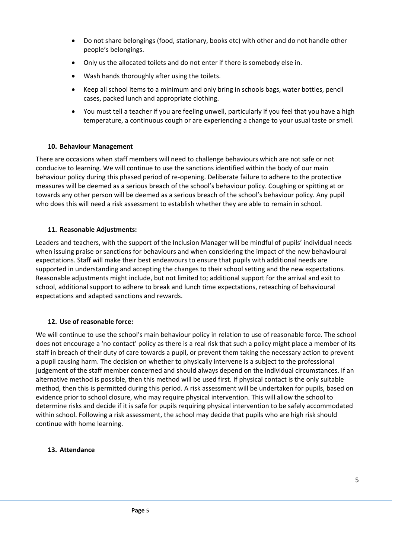- Do not share belongings (food, stationary, books etc) with other and do not handle other people's belongings.
- Only us the allocated toilets and do not enter if there is somebody else in.
- Wash hands thoroughly after using the toilets.
- Keep all school items to a minimum and only bring in schools bags, water bottles, pencil cases, packed lunch and appropriate clothing.
- You must tell a teacher if you are feeling unwell, particularly if you feel that you have a high temperature, a continuous cough or are experiencing a change to your usual taste or smell.

### **10. Behaviour Management**

There are occasions when staff members will need to challenge behaviours which are not safe or not conducive to learning. We will continue to use the sanctions identified within the body of our main behaviour policy during this phased period of re-opening. Deliberate failure to adhere to the protective measures will be deemed as a serious breach of the school's behaviour policy. Coughing or spitting at or towards any other person will be deemed as a serious breach of the school's behaviour policy. Any pupil who does this will need a risk assessment to establish whether they are able to remain in school.

#### **11. Reasonable Adjustments:**

Leaders and teachers, with the support of the Inclusion Manager will be mindful of pupils' individual needs when issuing praise or sanctions for behaviours and when considering the impact of the new behavioural expectations. Staff will make their best endeavours to ensure that pupils with additional needs are supported in understanding and accepting the changes to their school setting and the new expectations. Reasonable adjustments might include, but not limited to; additional support for the arrival and exit to school, additional support to adhere to break and lunch time expectations, reteaching of behavioural expectations and adapted sanctions and rewards.

### **12. Use of reasonable force:**

We will continue to use the school's main behaviour policy in relation to use of reasonable force. The school does not encourage a 'no contact' policy as there is a real risk that such a policy might place a member of its staff in breach of their duty of care towards a pupil, or prevent them taking the necessary action to prevent a pupil causing harm. The decision on whether to physically intervene is a subject to the professional judgement of the staff member concerned and should always depend on the individual circumstances. If an alternative method is possible, then this method will be used first. If physical contact is the only suitable method, then this is permitted during this period. A risk assessment will be undertaken for pupils, based on evidence prior to school closure, who may require physical intervention. This will allow the school to determine risks and decide if it is safe for pupils requiring physical intervention to be safely accommodated within school. Following a risk assessment, the school may decide that pupils who are high risk should continue with home learning.

#### **13. Attendance**